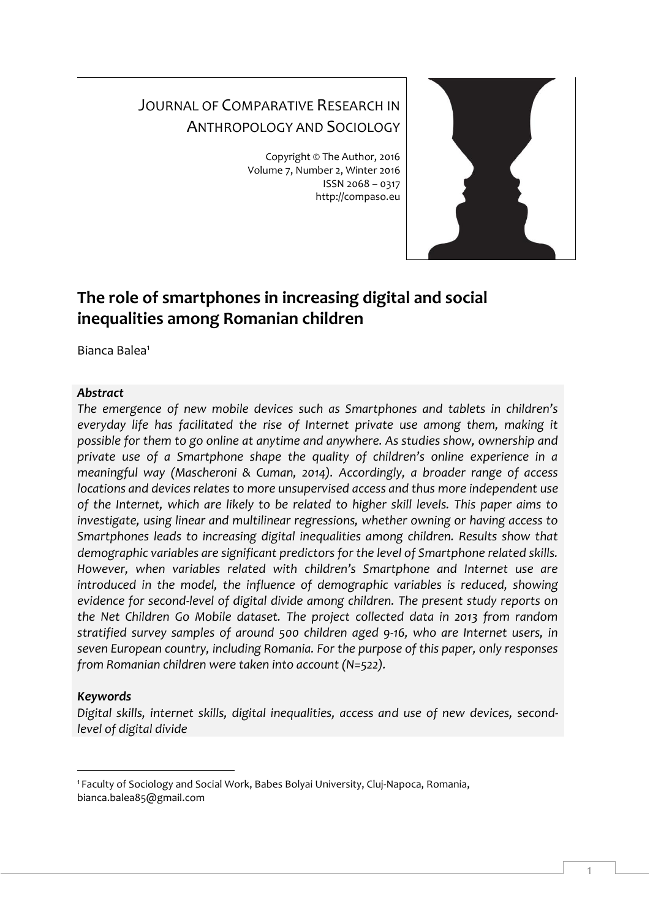# JOURNAL OF COMPARATIVE RESEARCH IN ANTHROPOLOGY AND SOCIOLOGY

Copyright © The Author, 2016 Volume 7, Number 2, Winter 2016 ISSN 2068 – 0317 http://compaso.eu



# **The role of smartphones in increasing digital and social inequalities among Romanian children**

Bianca Balea<sup>1</sup>

## *Abstract*

*The emergence of new mobile devices such as Smartphones and tablets in children's everyday life has facilitated the rise of Internet private use among them, making it possible for them to go online at anytime and anywhere. As studies show, ownership and private use of a Smartphone shape the quality of children's online experience in a meaningful way (Mascheroni & Cuman, 2014). Accordingly, a broader range of access locations and devices relates to more unsupervised access and thus more independent use of the Internet, which are likely to be related to higher skill levels. This paper aims to investigate, using linear and multilinear regressions, whether owning or having access to Smartphones leads to increasing digital inequalities among children. Results show that demographic variables are significant predictors for the level of Smartphone related skills. However, when variables related with children's Smartphone and Internet use are*  introduced in the model, the influence of demographic variables is reduced, showing *evidence for second-level of digital divide among children. The present study reports on the Net Children Go Mobile dataset. The project collected data in 2013 from random stratified survey samples of around 500 children aged 9-16, who are Internet users, in seven European country, including Romania. For the purpose of this paper, only responses from Romanian children were taken into account (N=522).*

# *Keywords*

-

*Digital skills, internet skills, digital inequalities, access and use of new devices, secondlevel of digital divide*

<sup>1</sup> Faculty of Sociology and Social Work, Babes Bolyai University, Cluj-Napoca, Romania, bianca.balea85@gmail.com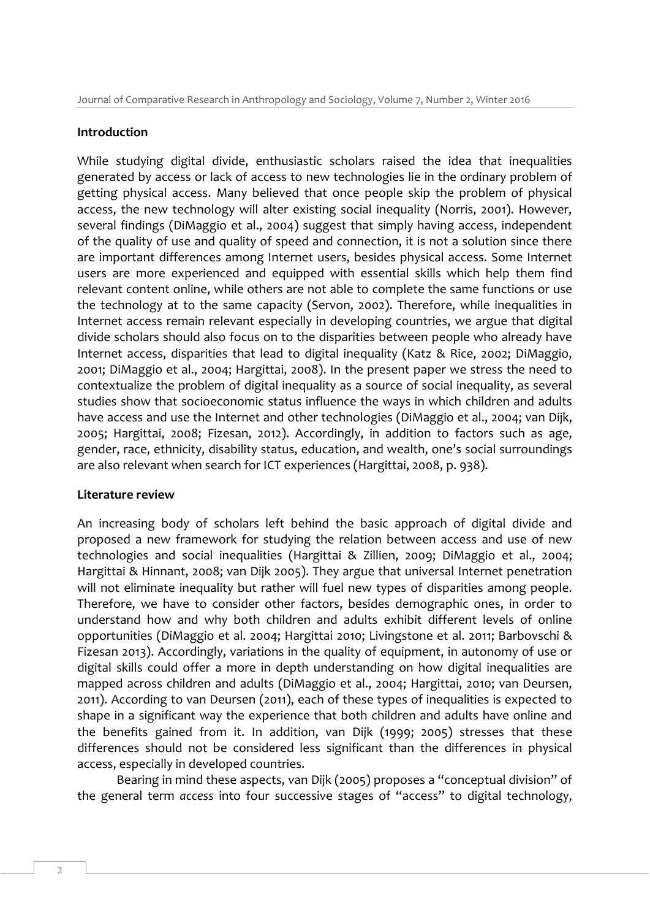#### **Introduction**

While studying digital divide, enthusiastic scholars raised the idea that inequalities generated by access or lack of access to new technologies lie in the ordinary problem of getting physical access. Many believed that once people skip the problem of physical access, the new technology will alter existing social inequality (Norris, 2001). However, several findings (DiMaggio et al., 2004) suggest that simply having access, independent of the quality of use and quality of speed and connection, it is not a solution since there are important differences among Internet users, besides physical access. Some Internet users are more experienced and equipped with essential skills which help them find relevant content online, while others are not able to complete the same functions or use the technology at to the same capacity (Servon, 2002). Therefore, while inequalities in Internet access remain relevant especially in developing countries, we argue that digital divide scholars should also focus on to the disparities between people who already have Internet access, disparities that lead to digital inequality (Katz & Rice, 2002; DiMaggio, 2001; DiMaggio et al., 2004; Hargittai, 2008). In the present paper we stress the need to contextualize the problem of digital inequality as a source of social inequality, as several studies show that socioeconomic status influence the ways in which children and adults have access and use the Internet and other technologies (DiMaggio et al., 2004; van Dijk, 2005; Hargittai, 2008; Fizesan, 2012). Accordingly, in addition to factors such as age, gender, race, ethnicity, disability status, education, and wealth, one's social surroundings are also relevant when search for ICT experiences (Hargittai, 2008, p. 938).

#### **Literature review**

An increasing body of scholars left behind the basic approach of digital divide and proposed a new framework for studying the relation between access and use of new technologies and social inequalities (Hargittai & Zillien, 2009; DiMaggio et al., 2004; Hargittai & Hinnant, 2008; van Dijk 2005). They argue that universal Internet penetration will not eliminate inequality but rather will fuel new types of disparities among people. Therefore, we have to consider other factors, besides demographic ones, in order to understand how and why both children and adults exhibit different levels of online opportunities (DiMaggio et al. 2004; Hargittai 2010; Livingstone et al. 2011; Barbovschi & Fizesan 2013). Accordingly, variations in the quality of equipment, in autonomy of use or digital skills could offer a more in depth understanding on how digital inequalities are mapped across children and adults (DiMaggio et al., 2004; Hargittai, 2010; van Deursen, 2011). According to van Deursen (2011), each of these types of inequalities is expected to shape in a significant way the experience that both children and adults have online and the benefits gained from it. In addition, van Dijk (1999; 2005) stresses that these differences should not be considered less significant than the differences in physical access, especially in developed countries.

Bearing in mind these aspects, van Dijk (2005) proposes a "conceptual division" of the general term *access* into four successive stages of "access" to digital technology,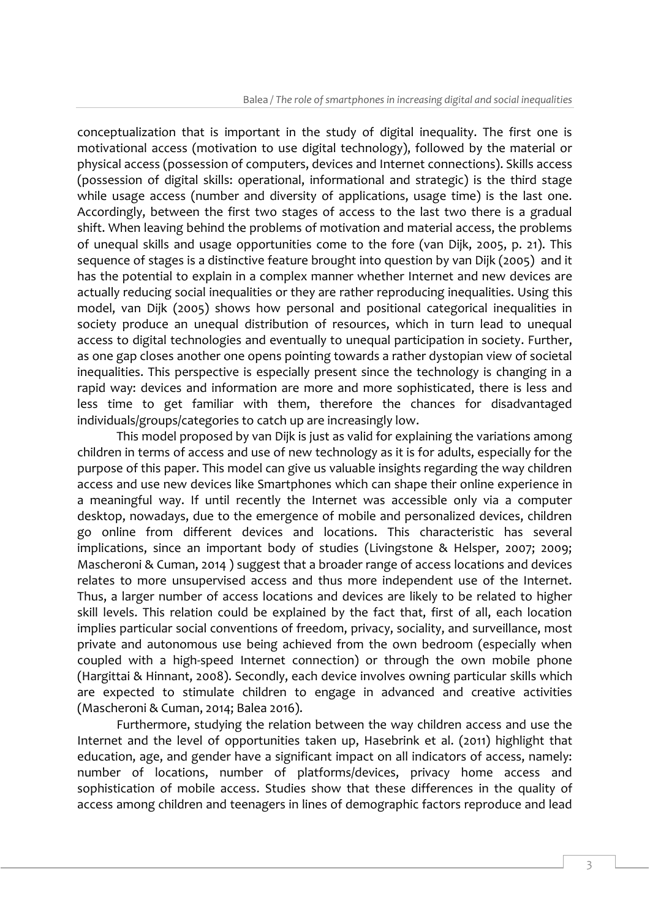conceptualization that is important in the study of digital inequality. The first one is motivational access (motivation to use digital technology), followed by the material or physical access (possession of computers, devices and Internet connections). Skills access (possession of digital skills: operational, informational and strategic) is the third stage while usage access (number and diversity of applications, usage time) is the last one. Accordingly, between the first two stages of access to the last two there is a gradual shift. When leaving behind the problems of motivation and material access, the problems of unequal skills and usage opportunities come to the fore (van Dijk, 2005, p. 21). This sequence of stages is a distinctive feature brought into question by van Dijk (2005) and it has the potential to explain in a complex manner whether Internet and new devices are actually reducing social inequalities or they are rather reproducing inequalities. Using this model, van Dijk (2005) shows how personal and positional categorical inequalities in society produce an unequal distribution of resources, which in turn lead to unequal access to digital technologies and eventually to unequal participation in society. Further, as one gap closes another one opens pointing towards a rather dystopian view of societal inequalities. This perspective is especially present since the technology is changing in a rapid way: devices and information are more and more sophisticated, there is less and less time to get familiar with them, therefore the chances for disadvantaged individuals/groups/categories to catch up are increasingly low.

This model proposed by van Dijk is just as valid for explaining the variations among children in terms of access and use of new technology as it is for adults, especially for the purpose of this paper. This model can give us valuable insights regarding the way children access and use new devices like Smartphones which can shape their online experience in a meaningful way. If until recently the Internet was accessible only via a computer desktop, nowadays, due to the emergence of mobile and personalized devices, children go online from different devices and locations. This characteristic has several implications, since an important body of studies (Livingstone & Helsper, 2007; 2009; Mascheroni & Cuman, 2014 ) suggest that a broader range of access locations and devices relates to more unsupervised access and thus more independent use of the Internet. Thus, a larger number of access locations and devices are likely to be related to higher skill levels. This relation could be explained by the fact that, first of all, each location implies particular social conventions of freedom, privacy, sociality, and surveillance, most private and autonomous use being achieved from the own bedroom (especially when coupled with a high-speed Internet connection) or through the own mobile phone (Hargittai & Hinnant, 2008). Secondly, each device involves owning particular skills which are expected to stimulate children to engage in advanced and creative activities (Mascheroni & Cuman, 2014; Balea 2016).

Furthermore, studying the relation between the way children access and use the Internet and the level of opportunities taken up, Hasebrink et al. (2011) highlight that education, age, and gender have a significant impact on all indicators of access, namely: number of locations, number of platforms/devices, privacy home access and sophistication of mobile access. Studies show that these differences in the quality of access among children and teenagers in lines of demographic factors reproduce and lead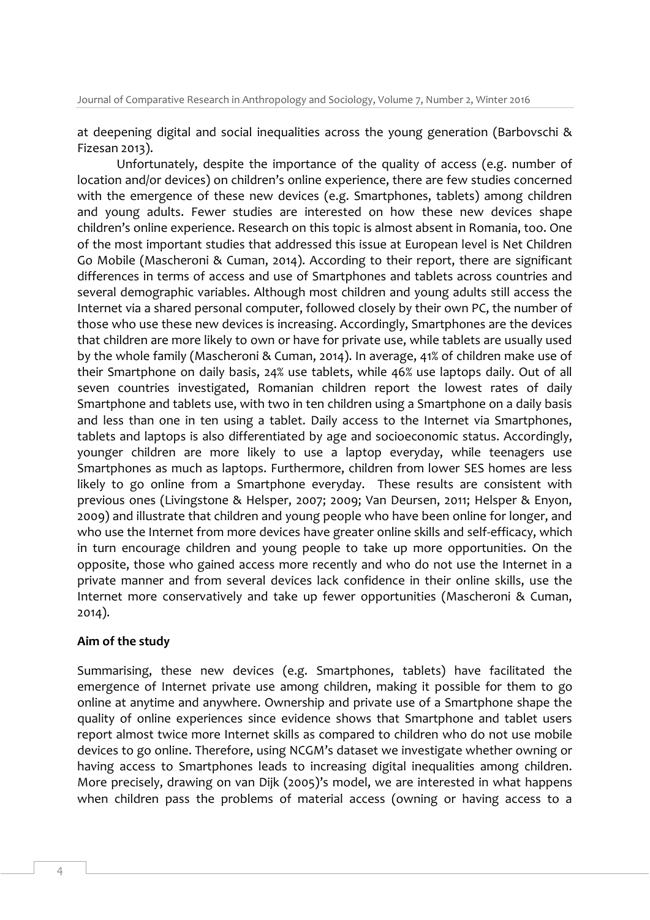at deepening digital and social inequalities across the young generation (Barbovschi & Fizesan 2013).

Unfortunately, despite the importance of the quality of access (e.g. number of location and/or devices) on children's online experience, there are few studies concerned with the emergence of these new devices (e.g. Smartphones, tablets) among children and young adults. Fewer studies are interested on how these new devices shape children's online experience. Research on this topic is almost absent in Romania, too. One of the most important studies that addressed this issue at European level is Net Children Go Mobile (Mascheroni & Cuman, 2014). According to their report, there are significant differences in terms of access and use of Smartphones and tablets across countries and several demographic variables. Although most children and young adults still access the Internet via a shared personal computer, followed closely by their own PC, the number of those who use these new devices is increasing. Accordingly, Smartphones are the devices that children are more likely to own or have for private use, while tablets are usually used by the whole family (Mascheroni & Cuman, 2014). In average, 41% of children make use of their Smartphone on daily basis, 24% use tablets, while 46% use laptops daily. Out of all seven countries investigated, Romanian children report the lowest rates of daily Smartphone and tablets use, with two in ten children using a Smartphone on a daily basis and less than one in ten using a tablet. Daily access to the Internet via Smartphones, tablets and laptops is also differentiated by age and socioeconomic status. Accordingly, younger children are more likely to use a laptop everyday, while teenagers use Smartphones as much as laptops. Furthermore, children from lower SES homes are less likely to go online from a Smartphone everyday. These results are consistent with previous ones (Livingstone & Helsper, 2007; 2009; Van Deursen, 2011; Helsper & Enyon, 2009) and illustrate that children and young people who have been online for longer, and who use the Internet from more devices have greater online skills and self-efficacy, which in turn encourage children and young people to take up more opportunities. On the opposite, those who gained access more recently and who do not use the Internet in a private manner and from several devices lack confidence in their online skills, use the Internet more conservatively and take up fewer opportunities (Mascheroni & Cuman, 2014).

### **Aim of the study**

Summarising, these new devices (e.g. Smartphones, tablets) have facilitated the emergence of Internet private use among children, making it possible for them to go online at anytime and anywhere. Ownership and private use of a Smartphone shape the quality of online experiences since evidence shows that Smartphone and tablet users report almost twice more Internet skills as compared to children who do not use mobile devices to go online. Therefore, using NCGM's dataset we investigate whether owning or having access to Smartphones leads to increasing digital inequalities among children. More precisely, drawing on van Dijk (2005)'s model, we are interested in what happens when children pass the problems of material access (owning or having access to a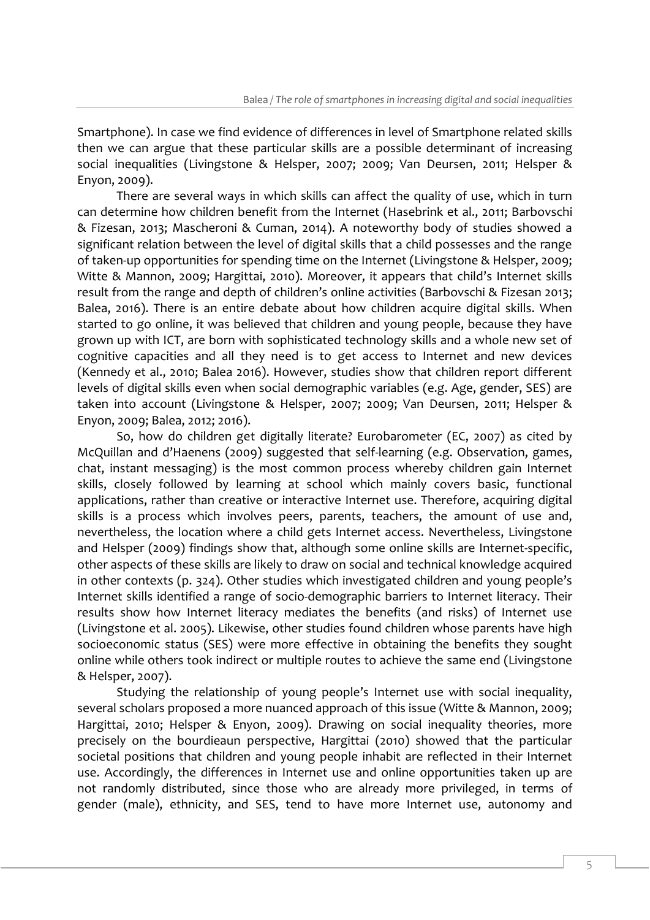Smartphone). In case we find evidence of differences in level of Smartphone related skills then we can argue that these particular skills are a possible determinant of increasing social inequalities (Livingstone & Helsper, 2007; 2009; Van Deursen, 2011; Helsper & Enyon, 2009).

There are several ways in which skills can affect the quality of use, which in turn can determine how children benefit from the Internet (Hasebrink et al., 2011; Barbovschi & Fizesan, 2013; Mascheroni & Cuman, 2014). A noteworthy body of studies showed a significant relation between the level of digital skills that a child possesses and the range of taken-up opportunities for spending time on the Internet (Livingstone & Helsper, 2009; Witte & Mannon, 2009; Hargittai, 2010). Moreover, it appears that child's Internet skills result from the range and depth of children's online activities (Barbovschi & Fizesan 2013; Balea, 2016). There is an entire debate about how children acquire digital skills. When started to go online, it was believed that children and young people, because they have grown up with ICT, are born with sophisticated technology skills and a whole new set of cognitive capacities and all they need is to get access to Internet and new devices (Kennedy et al., 2010; Balea 2016). However, studies show that children report different levels of digital skills even when social demographic variables (e.g. Age, gender, SES) are taken into account (Livingstone & Helsper, 2007; 2009; Van Deursen, 2011; Helsper & Enyon, 2009; Balea, 2012; 2016).

So, how do children get digitally literate? Eurobarometer (EC, 2007) as cited by McQuillan and d'Haenens (2009) suggested that self-learning (e.g. Observation, games, chat, instant messaging) is the most common process whereby children gain Internet skills, closely followed by learning at school which mainly covers basic, functional applications, rather than creative or interactive Internet use. Therefore, acquiring digital skills is a process which involves peers, parents, teachers, the amount of use and, nevertheless, the location where a child gets Internet access. Nevertheless, Livingstone and Helsper (2009) findings show that, although some online skills are Internet-specific, other aspects of these skills are likely to draw on social and technical knowledge acquired in other contexts (p. 324). Other studies which investigated children and young people's Internet skills identified a range of socio-demographic barriers to Internet literacy. Their results show how Internet literacy mediates the benefits (and risks) of Internet use (Livingstone et al. 2005). Likewise, other studies found children whose parents have high socioeconomic status (SES) were more effective in obtaining the benefits they sought online while others took indirect or multiple routes to achieve the same end (Livingstone & Helsper, 2007).

Studying the relationship of young people's Internet use with social inequality, several scholars proposed a more nuanced approach of this issue (Witte & Mannon, 2009; Hargittai, 2010; Helsper & Enyon, 2009). Drawing on social inequality theories, more precisely on the bourdieaun perspective, Hargittai (2010) showed that the particular societal positions that children and young people inhabit are reflected in their Internet use. Accordingly, the differences in Internet use and online opportunities taken up are not randomly distributed, since those who are already more privileged, in terms of gender (male), ethnicity, and SES, tend to have more Internet use, autonomy and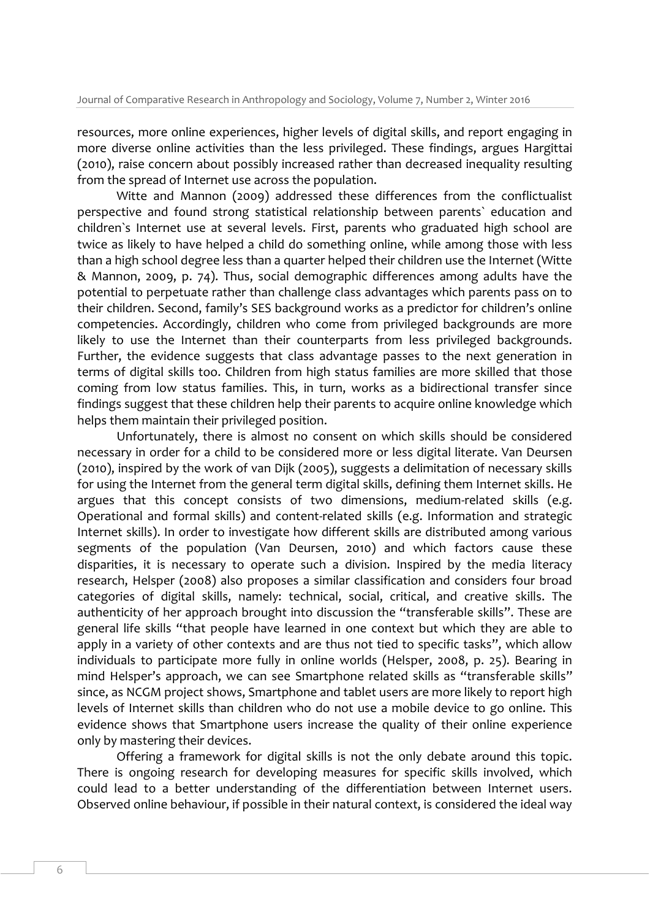resources, more online experiences, higher levels of digital skills, and report engaging in more diverse online activities than the less privileged. These findings, argues Hargittai (2010), raise concern about possibly increased rather than decreased inequality resulting from the spread of Internet use across the population.

Witte and Mannon (2009) addressed these differences from the conflictualist perspective and found strong statistical relationship between parents` education and children`s Internet use at several levels. First, parents who graduated high school are twice as likely to have helped a child do something online, while among those with less than a high school degree less than a quarter helped their children use the Internet (Witte & Mannon, 2009, p. 74). Thus, social demographic differences among adults have the potential to perpetuate rather than challenge class advantages which parents pass on to their children. Second, family's SES background works as a predictor for children's online competencies. Accordingly, children who come from privileged backgrounds are more likely to use the Internet than their counterparts from less privileged backgrounds. Further, the evidence suggests that class advantage passes to the next generation in terms of digital skills too. Children from high status families are more skilled that those coming from low status families. This, in turn, works as a bidirectional transfer since findings suggest that these children help their parents to acquire online knowledge which helps them maintain their privileged position.

Unfortunately, there is almost no consent on which skills should be considered necessary in order for a child to be considered more or less digital literate. Van Deursen (2010), inspired by the work of van Dijk (2005), suggests a delimitation of necessary skills for using the Internet from the general term digital skills, defining them Internet skills. He argues that this concept consists of two dimensions, medium-related skills (e.g. Operational and formal skills) and content-related skills (e.g. Information and strategic Internet skills). In order to investigate how different skills are distributed among various segments of the population (Van Deursen, 2010) and which factors cause these disparities, it is necessary to operate such a division. Inspired by the media literacy research, Helsper (2008) also proposes a similar classification and considers four broad categories of digital skills, namely: technical, social, critical, and creative skills. The authenticity of her approach brought into discussion the "transferable skills". These are general life skills "that people have learned in one context but which they are able to apply in a variety of other contexts and are thus not tied to specific tasks", which allow individuals to participate more fully in online worlds (Helsper, 2008, p. 25). Bearing in mind Helsper's approach, we can see Smartphone related skills as "transferable skills" since, as NCGM project shows, Smartphone and tablet users are more likely to report high levels of Internet skills than children who do not use a mobile device to go online. This evidence shows that Smartphone users increase the quality of their online experience only by mastering their devices.

Offering a framework for digital skills is not the only debate around this topic. There is ongoing research for developing measures for specific skills involved, which could lead to a better understanding of the differentiation between Internet users. Observed online behaviour, if possible in their natural context, is considered the ideal way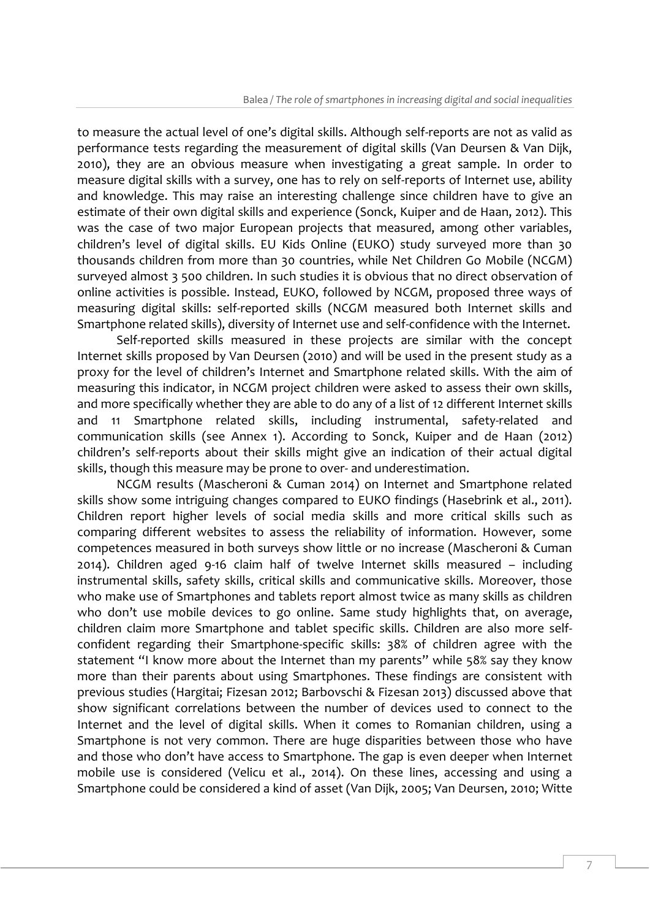to measure the actual level of one's digital skills. Although self-reports are not as valid as performance tests regarding the measurement of digital skills (Van Deursen & Van Dijk, 2010), they are an obvious measure when investigating a great sample. In order to measure digital skills with a survey, one has to rely on self-reports of Internet use, ability and knowledge. This may raise an interesting challenge since children have to give an estimate of their own digital skills and experience (Sonck, Kuiper and de Haan, 2012). This was the case of two major European projects that measured, among other variables, children's level of digital skills. EU Kids Online (EUKO) study surveyed more than 30 thousands children from more than 30 countries, while Net Children Go Mobile (NCGM) surveyed almost 3 500 children. In such studies it is obvious that no direct observation of online activities is possible. Instead, EUKO, followed by NCGM, proposed three ways of measuring digital skills: self-reported skills (NCGM measured both Internet skills and Smartphone related skills), diversity of Internet use and self-confidence with the Internet.

Self-reported skills measured in these projects are similar with the concept Internet skills proposed by Van Deursen (2010) and will be used in the present study as a proxy for the level of children's Internet and Smartphone related skills. With the aim of measuring this indicator, in NCGM project children were asked to assess their own skills, and more specifically whether they are able to do any of a list of 12 different Internet skills and 11 Smartphone related skills, including instrumental, safety-related and communication skills (see Annex 1). According to Sonck, Kuiper and de Haan (2012) children's self-reports about their skills might give an indication of their actual digital skills, though this measure may be prone to over- and underestimation.

NCGM results (Mascheroni & Cuman 2014) on Internet and Smartphone related skills show some intriguing changes compared to EUKO findings (Hasebrink et al., 2011). Children report higher levels of social media skills and more critical skills such as comparing different websites to assess the reliability of information. However, some competences measured in both surveys show little or no increase (Mascheroni & Cuman 2014). Children aged 9-16 claim half of twelve Internet skills measured – including instrumental skills, safety skills, critical skills and communicative skills. Moreover, those who make use of Smartphones and tablets report almost twice as many skills as children who don't use mobile devices to go online. Same study highlights that, on average, children claim more Smartphone and tablet specific skills. Children are also more selfconfident regarding their Smartphone-specific skills: 38% of children agree with the statement "I know more about the Internet than my parents" while 58% say they know more than their parents about using Smartphones. These findings are consistent with previous studies (Hargitai; Fizesan 2012; Barbovschi & Fizesan 2013) discussed above that show significant correlations between the number of devices used to connect to the Internet and the level of digital skills. When it comes to Romanian children, using a Smartphone is not very common. There are huge disparities between those who have and those who don't have access to Smartphone. The gap is even deeper when Internet mobile use is considered (Velicu et al., 2014). On these lines, accessing and using a Smartphone could be considered a kind of asset (Van Dijk, 2005; Van Deursen, 2010; Witte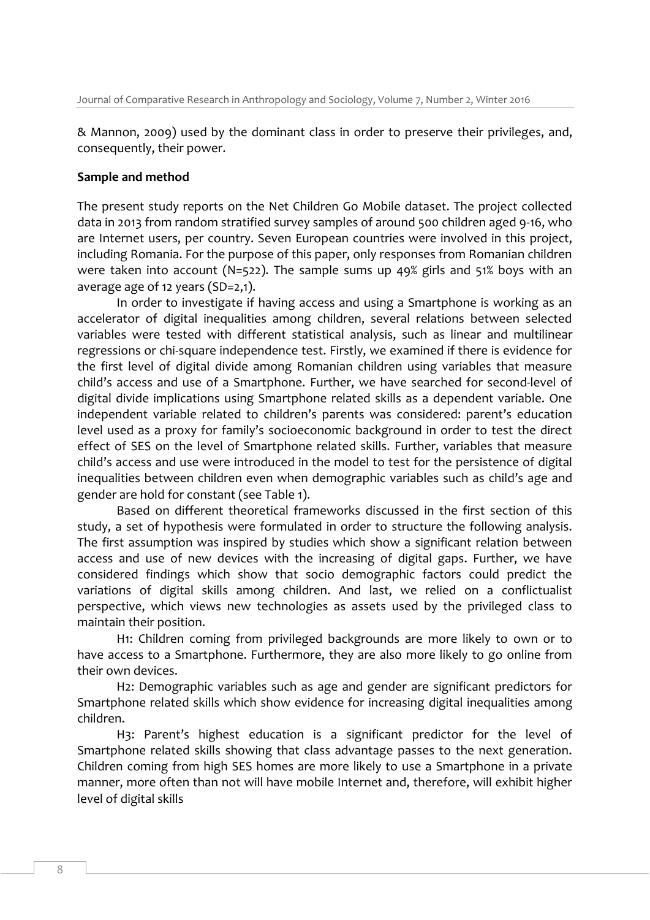& Mannon, 2009) used by the dominant class in order to preserve their privileges, and, consequently, their power.

#### **Sample and method**

The present study reports on the Net Children Go Mobile dataset. The project collected data in 2013 from random stratified survey samples of around 500 children aged 9-16, who are Internet users, per country. Seven European countries were involved in this project, including Romania. For the purpose of this paper, only responses from Romanian children were taken into account (N=522). The sample sums up 49% girls and 51% boys with an average age of 12 years (SD=2,1).

In order to investigate if having access and using a Smartphone is working as an accelerator of digital inequalities among children, several relations between selected variables were tested with different statistical analysis, such as linear and multilinear regressions or chi-square independence test. Firstly, we examined if there is evidence for the first level of digital divide among Romanian children using variables that measure child's access and use of a Smartphone. Further, we have searched for second-level of digital divide implications using Smartphone related skills as a dependent variable. One independent variable related to children's parents was considered: parent's education level used as a proxy for family's socioeconomic background in order to test the direct effect of SES on the level of Smartphone related skills. Further, variables that measure child's access and use were introduced in the model to test for the persistence of digital inequalities between children even when demographic variables such as child's age and gender are hold for constant (see Table 1).

Based on different theoretical frameworks discussed in the first section of this study, a set of hypothesis were formulated in order to structure the following analysis. The first assumption was inspired by studies which show a significant relation between access and use of new devices with the increasing of digital gaps. Further, we have considered findings which show that socio demographic factors could predict the variations of digital skills among children. And last, we relied on a conflictualist perspective, which views new technologies as assets used by the privileged class to maintain their position.

H1: Children coming from privileged backgrounds are more likely to own or to have access to a Smartphone. Furthermore, they are also more likely to go online from their own devices.

H2: Demographic variables such as age and gender are significant predictors for Smartphone related skills which show evidence for increasing digital inequalities among children.

H3: Parent's highest education is a significant predictor for the level of Smartphone related skills showing that class advantage passes to the next generation. Children coming from high SES homes are more likely to use a Smartphone in a private manner, more often than not will have mobile Internet and, therefore, will exhibit higher level of digital skills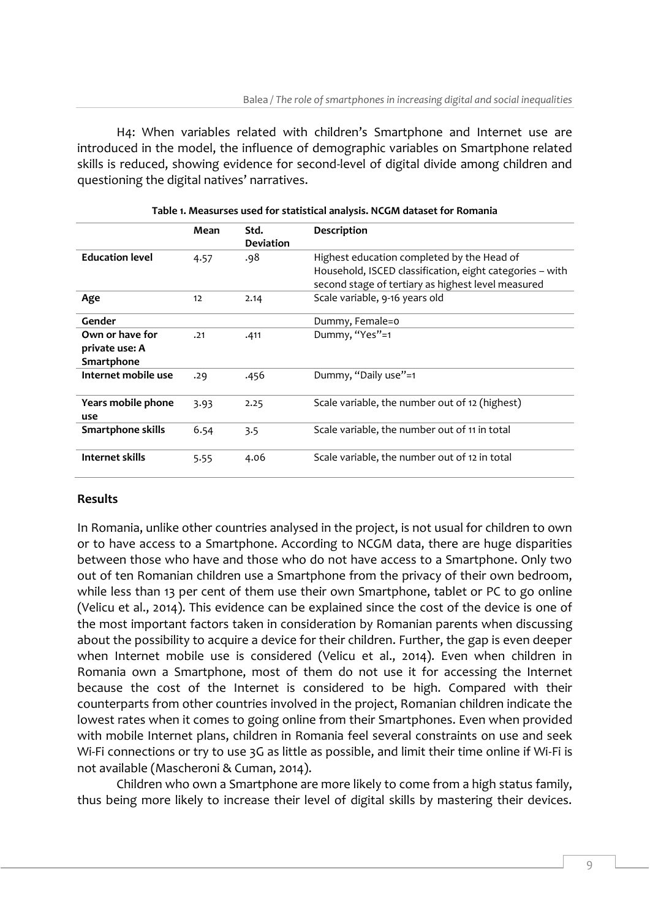H4: When variables related with children's Smartphone and Internet use are introduced in the model, the influence of demographic variables on Smartphone related skills is reduced, showing evidence for second-level of digital divide among children and questioning the digital natives' narratives.

|                        | Mean | Std.             | Description                                              |
|------------------------|------|------------------|----------------------------------------------------------|
|                        |      | <b>Deviation</b> |                                                          |
| <b>Education level</b> | 4.57 | .98              | Highest education completed by the Head of               |
|                        |      |                  | Household, ISCED classification, eight categories - with |
|                        |      |                  | second stage of tertiary as highest level measured       |
| Age                    | 12   | 2.14             | Scale variable, 9-16 years old                           |
| Gender                 |      |                  | Dummy, Female=0                                          |
| Own or have for        | .21  | .411             | Dummy, "Yes"=1                                           |
| private use: A         |      |                  |                                                          |
| Smartphone             |      |                  |                                                          |
| Internet mobile use    | .29  | .456             | Dummy, "Daily use"=1                                     |
| Years mobile phone     | 3.93 | 2.25             | Scale variable, the number out of 12 (highest)           |
| use                    |      |                  |                                                          |
| Smartphone skills      | 6.54 | 3.5              | Scale variable, the number out of 11 in total            |
| Internet skills        | 5.55 | 4.06             | Scale variable, the number out of 12 in total            |

### **Results**

In Romania, unlike other countries analysed in the project, is not usual for children to own or to have access to a Smartphone. According to NCGM data, there are huge disparities between those who have and those who do not have access to a Smartphone. Only two out of ten Romanian children use a Smartphone from the privacy of their own bedroom, while less than 13 per cent of them use their own Smartphone, tablet or PC to go online (Velicu et al., 2014). This evidence can be explained since the cost of the device is one of the most important factors taken in consideration by Romanian parents when discussing about the possibility to acquire a device for their children. Further, the gap is even deeper when Internet mobile use is considered (Velicu et al., 2014). Even when children in Romania own a Smartphone, most of them do not use it for accessing the Internet because the cost of the Internet is considered to be high. Compared with their counterparts from other countries involved in the project, Romanian children indicate the lowest rates when it comes to going online from their Smartphones. Even when provided with mobile Internet plans, children in Romania feel several constraints on use and seek Wi-Fi connections or try to use 3G as little as possible, and limit their time online if Wi-Fi is not available (Mascheroni & Cuman, 2014).

Children who own a Smartphone are more likely to come from a high status family, thus being more likely to increase their level of digital skills by mastering their devices.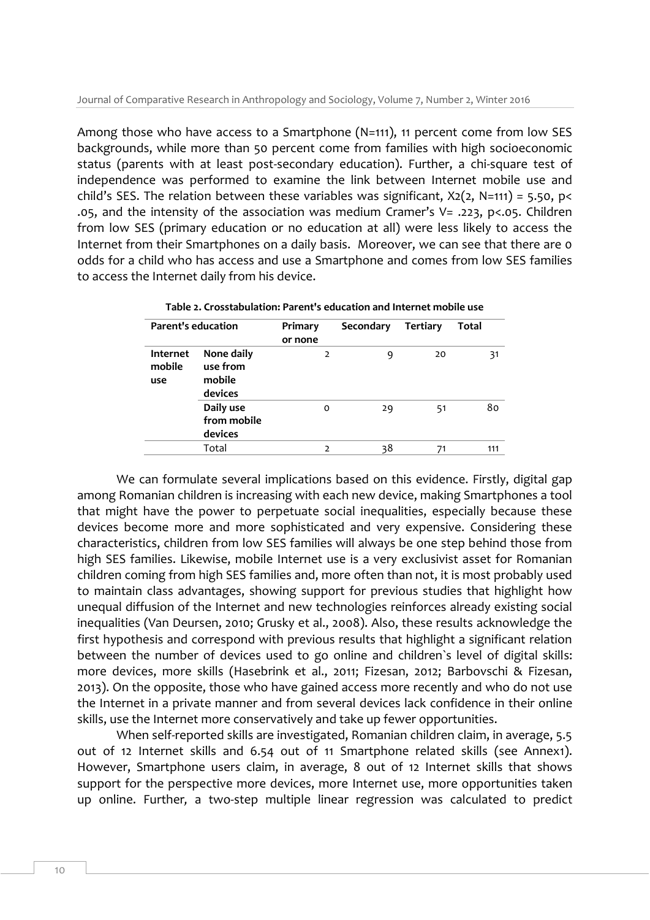Among those who have access to a Smartphone (N=111), 11 percent come from low SES backgrounds, while more than 50 percent come from families with high socioeconomic status (parents with at least post-secondary education). Further, a chi-square test of independence was performed to examine the link between Internet mobile use and child's SES. The relation between these variables was significant,  $X_2(2, N=111) = 5.50$ , p< .05, and the intensity of the association was medium Cramer's V= .223, p<.05. Children from low SES (primary education or no education at all) were less likely to access the Internet from their Smartphones on a daily basis. Moreover, we can see that there are 0 odds for a child who has access and use a Smartphone and comes from low SES families to access the Internet daily from his device.

| <b>Parent's education</b>        |                                             | Primary        | Secondary | Tertiary | Total |
|----------------------------------|---------------------------------------------|----------------|-----------|----------|-------|
|                                  |                                             | or none        |           |          |       |
| <b>Internet</b><br>mobile<br>use | None daily<br>use from<br>mobile<br>devices | $\overline{2}$ | 9         | 20       | 31    |
|                                  | Daily use<br>from mobile<br>devices         | O              | 29        | 51       | 80    |
|                                  | Total                                       | $\overline{2}$ | 38        | 71       | 111   |

**Table 2. Crosstabulation: Parent's education and Internet mobile use**

We can formulate several implications based on this evidence. Firstly, digital gap among Romanian children is increasing with each new device, making Smartphones a tool that might have the power to perpetuate social inequalities, especially because these devices become more and more sophisticated and very expensive. Considering these characteristics, children from low SES families will always be one step behind those from high SES families. Likewise, mobile Internet use is a very exclusivist asset for Romanian children coming from high SES families and, more often than not, it is most probably used to maintain class advantages, showing support for previous studies that highlight how unequal diffusion of the Internet and new technologies reinforces already existing social inequalities (Van Deursen, 2010; Grusky et al., 2008). Also, these results acknowledge the first hypothesis and correspond with previous results that highlight a significant relation between the number of devices used to go online and children`s level of digital skills: more devices, more skills (Hasebrink et al., 2011; Fizesan, 2012; Barbovschi & Fizesan, 2013). On the opposite, those who have gained access more recently and who do not use the Internet in a private manner and from several devices lack confidence in their online skills, use the Internet more conservatively and take up fewer opportunities.

When self-reported skills are investigated, Romanian children claim, in average, 5.5 out of 12 Internet skills and 6.54 out of 11 Smartphone related skills (see Annex1). However, Smartphone users claim, in average, 8 out of 12 Internet skills that shows support for the perspective more devices, more Internet use, more opportunities taken up online. Further*,* a two-step multiple linear regression was calculated to predict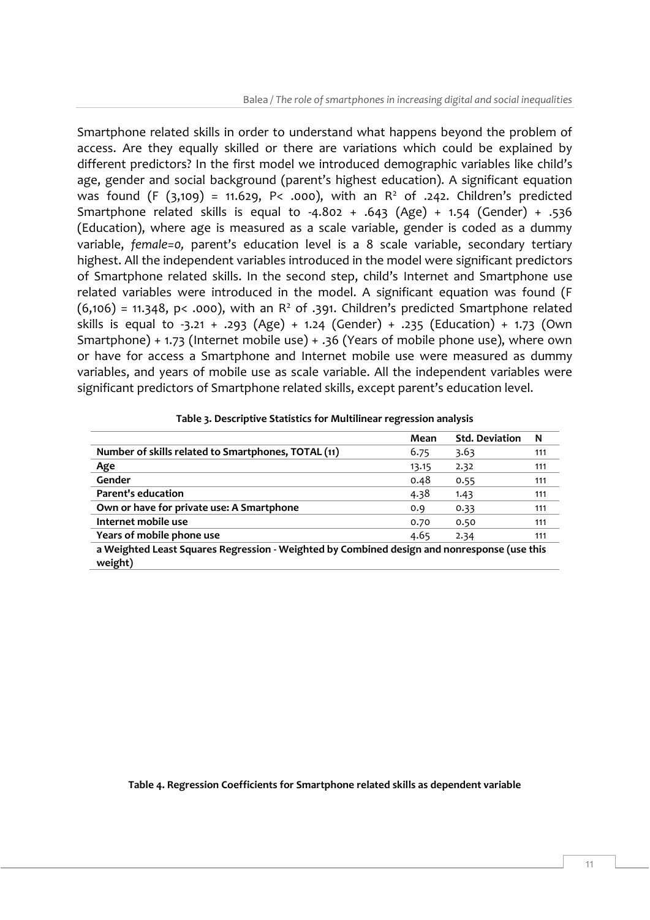Smartphone related skills in order to understand what happens beyond the problem of access. Are they equally skilled or there are variations which could be explained by different predictors? In the first model we introduced demographic variables like child's age, gender and social background (parent's highest education). A significant equation was found (F  $(3,109)$  = 11.629, P< .000), with an R<sup>2</sup> of .242. Children's predicted Smartphone related skills is equal to -4.802 + .643 (Age) + 1.54 (Gender) + .536 (Education), where age is measured as a scale variable, gender is coded as a dummy variable, *female=0,* parent's education level is a 8 scale variable, secondary tertiary highest. All the independent variables introduced in the model were significant predictors of Smartphone related skills. In the second step, child's Internet and Smartphone use related variables were introduced in the model. A significant equation was found (F  $(6,106)$  = 11.348, p< .000), with an R<sup>2</sup> of .391. Children's predicted Smartphone related skills is equal to -3.21 + .293 (Age) + 1.24 (Gender) + .235 (Education) + 1.73 (Own Smartphone) + 1.73 (Internet mobile use) + .36 (Years of mobile phone use), where own or have for access a Smartphone and Internet mobile use were measured as dummy variables, and years of mobile use as scale variable. All the independent variables were significant predictors of Smartphone related skills, except parent's education level.

| $10000$ $\mu$ $3000$ $\mu$ $1000$ $3000$ $1000$ $1000$ $1000$ $1000$ $1000$                            |       |                       |     |  |
|--------------------------------------------------------------------------------------------------------|-------|-----------------------|-----|--|
|                                                                                                        | Mean  | <b>Std. Deviation</b> | N   |  |
| Number of skills related to Smartphones, TOTAL (11)                                                    | 6.75  | 3.63                  | 111 |  |
| Age                                                                                                    | 13.15 | 2.32                  | 111 |  |
| Gender                                                                                                 | 0.48  | 0.55                  | 111 |  |
| <b>Parent's education</b>                                                                              | 4.38  | 1.43                  | 111 |  |
| Own or have for private use: A Smartphone                                                              | 0.9   | 0.33                  | 111 |  |
| Internet mobile use                                                                                    | 0.70  | 0.50                  | 111 |  |
| Years of mobile phone use                                                                              | 4.65  | 2.34                  | 111 |  |
| a Weighted Least Squares Regression - Weighted by Combined design and nonresponse (use this<br>weight) |       |                       |     |  |

#### **Table 3. Descriptive Statistics for Multilinear regression analysis**

#### **Table 4. Regression Coefficients for Smartphone related skills as dependent variable**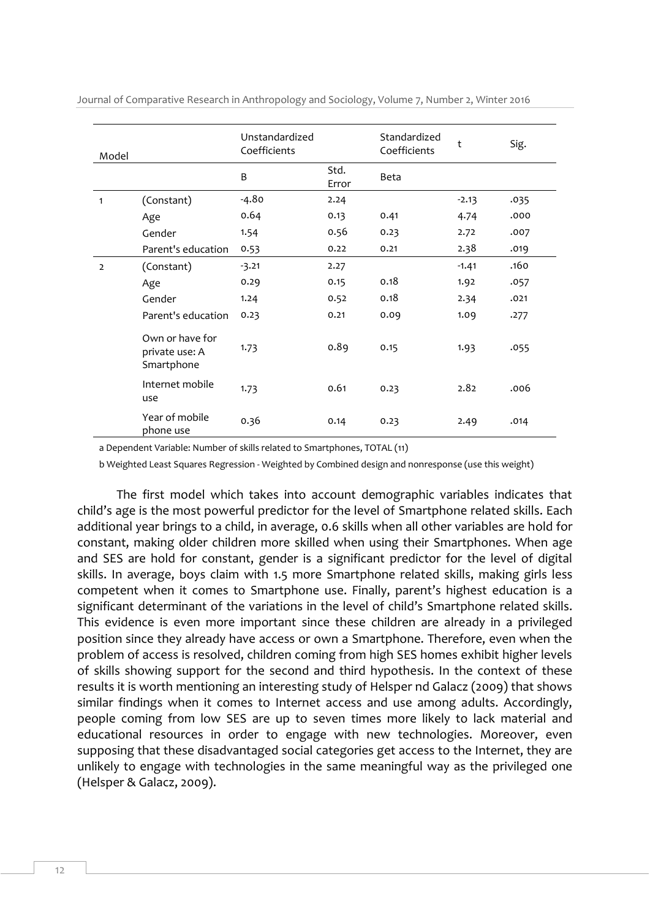| Model          |                                                 | Unstandardized<br>Coefficients |               | Standardized<br>Coefficients | t       | Sig. |
|----------------|-------------------------------------------------|--------------------------------|---------------|------------------------------|---------|------|
|                |                                                 | B                              | Std.<br>Error | Beta                         |         |      |
| $\mathbf{1}$   | (Constant)                                      | $-4.80$                        | 2.24          |                              | $-2.13$ | .035 |
|                | Age                                             | 0.64                           | 0.13          | 0.41                         | 4.74    | .000 |
|                | Gender                                          | 1.54                           | 0.56          | 0.23                         | 2.72    | .007 |
|                | Parent's education                              | 0.53                           | 0.22          | 0.21                         | 2.38    | .019 |
| $\overline{2}$ | (Constant)                                      | $-3.21$                        | 2.27          |                              | $-1.41$ | .160 |
|                | Age                                             | 0.29                           | 0.15          | 0.18                         | 1.92    | .057 |
|                | Gender                                          | 1.24                           | 0.52          | 0.18                         | 2.34    | .021 |
|                | Parent's education                              | 0.23                           | 0.21          | 0.09                         | 1.09    | .277 |
|                | Own or have for<br>private use: A<br>Smartphone | 1.73                           | 0.89          | 0.15                         | 1.93    | .055 |
|                | Internet mobile<br>use                          | 1.73                           | 0.61          | 0.23                         | 2.82    | .006 |
|                | Year of mobile<br>phone use                     | 0.36                           | 0.14          | 0.23                         | 2.49    | .014 |

Journal of Comparative Research in Anthropology and Sociology, Volume 7, Number 2, Winter 2016

a Dependent Variable: Number of skills related to Smartphones, TOTAL (11)

b Weighted Least Squares Regression - Weighted by Combined design and nonresponse (use this weight)

The first model which takes into account demographic variables indicates that child's age is the most powerful predictor for the level of Smartphone related skills. Each additional year brings to a child, in average, 0.6 skills when all other variables are hold for constant, making older children more skilled when using their Smartphones. When age and SES are hold for constant, gender is a significant predictor for the level of digital skills. In average, boys claim with 1.5 more Smartphone related skills, making girls less competent when it comes to Smartphone use. Finally, parent's highest education is a significant determinant of the variations in the level of child's Smartphone related skills. This evidence is even more important since these children are already in a privileged position since they already have access or own a Smartphone. Therefore, even when the problem of access is resolved, children coming from high SES homes exhibit higher levels of skills showing support for the second and third hypothesis. In the context of these results it is worth mentioning an interesting study of Helsper nd Galacz (2009) that shows similar findings when it comes to Internet access and use among adults. Accordingly, people coming from low SES are up to seven times more likely to lack material and educational resources in order to engage with new technologies. Moreover, even supposing that these disadvantaged social categories get access to the Internet, they are unlikely to engage with technologies in the same meaningful way as the privileged one (Helsper & Galacz, 2009).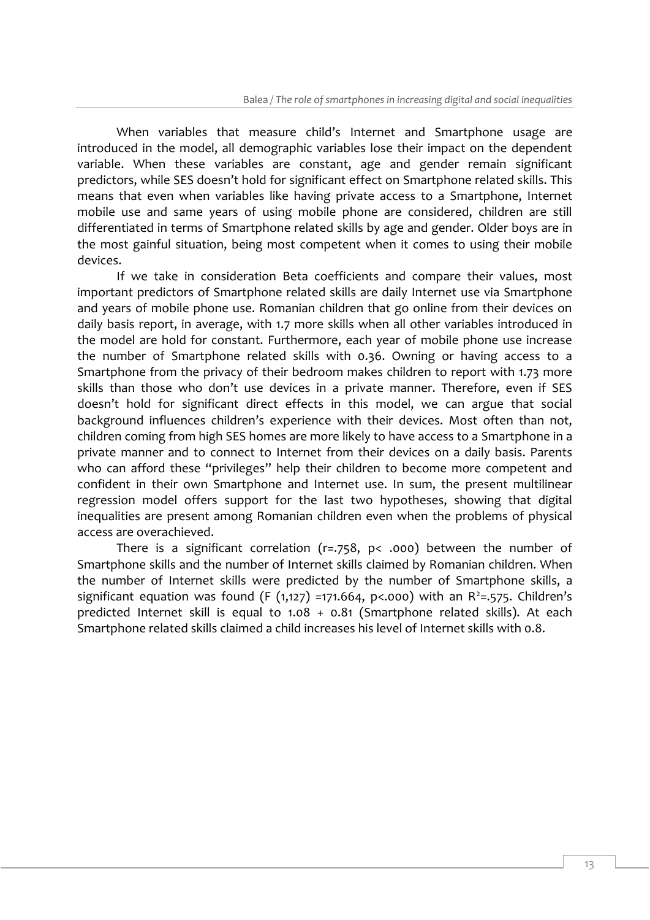When variables that measure child's Internet and Smartphone usage are introduced in the model, all demographic variables lose their impact on the dependent variable. When these variables are constant, age and gender remain significant predictors, while SES doesn't hold for significant effect on Smartphone related skills. This means that even when variables like having private access to a Smartphone, Internet mobile use and same years of using mobile phone are considered, children are still differentiated in terms of Smartphone related skills by age and gender. Older boys are in the most gainful situation, being most competent when it comes to using their mobile devices.

If we take in consideration Beta coefficients and compare their values, most important predictors of Smartphone related skills are daily Internet use via Smartphone and years of mobile phone use. Romanian children that go online from their devices on daily basis report, in average, with 1.7 more skills when all other variables introduced in the model are hold for constant. Furthermore, each year of mobile phone use increase the number of Smartphone related skills with 0.36. Owning or having access to a Smartphone from the privacy of their bedroom makes children to report with 1.73 more skills than those who don't use devices in a private manner. Therefore, even if SES doesn't hold for significant direct effects in this model, we can argue that social background influences children's experience with their devices. Most often than not, children coming from high SES homes are more likely to have access to a Smartphone in a private manner and to connect to Internet from their devices on a daily basis. Parents who can afford these "privileges" help their children to become more competent and confident in their own Smartphone and Internet use. In sum, the present multilinear regression model offers support for the last two hypotheses, showing that digital inequalities are present among Romanian children even when the problems of physical access are overachieved.

There is a significant correlation ( $r = .758$ ,  $p < .000$ ) between the number of Smartphone skills and the number of Internet skills claimed by Romanian children. When the number of Internet skills were predicted by the number of Smartphone skills, a significant equation was found (F (1,127) =171.664, p<.000) with an  $R^2$ =.575. Children's predicted Internet skill is equal to 1.08 + 0.81 (Smartphone related skills). At each Smartphone related skills claimed a child increases his level of Internet skills with 0.8.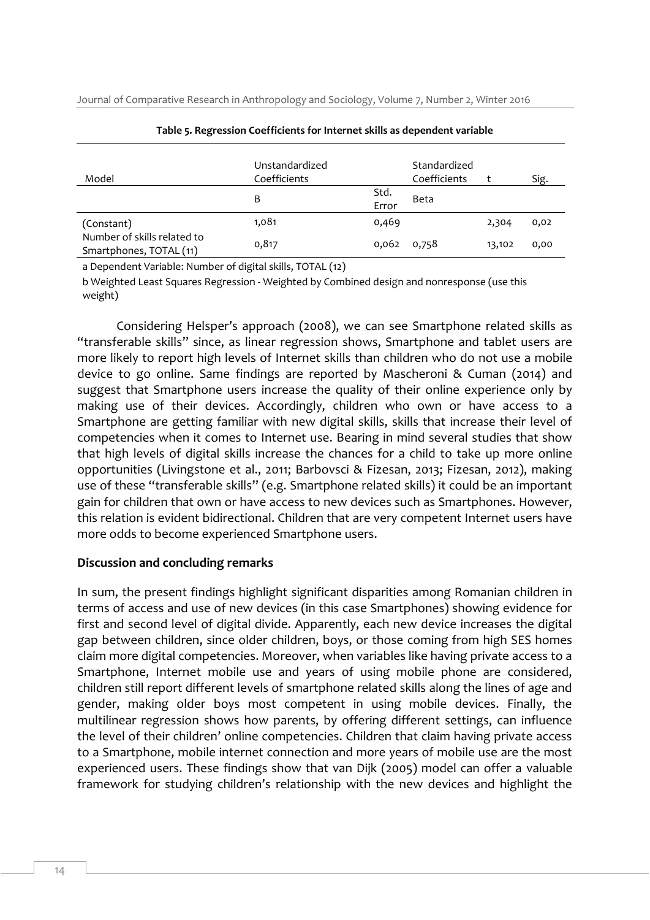Journal of Comparative Research in Anthropology and Sociology, Volume 7, Number 2, Winter 2016

| Model                                                  | Unstandardized<br>Coefficients |               | Standardized<br>Coefficients |        | Sig. |
|--------------------------------------------------------|--------------------------------|---------------|------------------------------|--------|------|
|                                                        | B                              | Std.<br>Error | Beta                         |        |      |
| (Constant)                                             | 1,081                          | 0,469         |                              | 2,304  | 0,02 |
| Number of skills related to<br>Smartphones, TOTAL (11) | 0,817                          | 0,062         | 0,758                        | 13,102 | 0,00 |

**Table 5. Regression Coefficients for Internet skills as dependent variable**

a Dependent Variable: Number of digital skills, TOTAL (12)

b Weighted Least Squares Regression - Weighted by Combined design and nonresponse (use this weight)

Considering Helsper's approach (2008), we can see Smartphone related skills as "transferable skills" since, as linear regression shows, Smartphone and tablet users are more likely to report high levels of Internet skills than children who do not use a mobile device to go online. Same findings are reported by Mascheroni & Cuman (2014) and suggest that Smartphone users increase the quality of their online experience only by making use of their devices. Accordingly, children who own or have access to a Smartphone are getting familiar with new digital skills, skills that increase their level of competencies when it comes to Internet use. Bearing in mind several studies that show that high levels of digital skills increase the chances for a child to take up more online opportunities (Livingstone et al., 2011; Barbovsci & Fizesan, 2013; Fizesan, 2012), making use of these "transferable skills" (e.g. Smartphone related skills) it could be an important gain for children that own or have access to new devices such as Smartphones. However, this relation is evident bidirectional. Children that are very competent Internet users have more odds to become experienced Smartphone users.

# **Discussion and concluding remarks**

In sum, the present findings highlight significant disparities among Romanian children in terms of access and use of new devices (in this case Smartphones) showing evidence for first and second level of digital divide. Apparently, each new device increases the digital gap between children, since older children, boys, or those coming from high SES homes claim more digital competencies. Moreover, when variables like having private access to a Smartphone, Internet mobile use and years of using mobile phone are considered, children still report different levels of smartphone related skills along the lines of age and gender, making older boys most competent in using mobile devices. Finally, the multilinear regression shows how parents, by offering different settings, can influence the level of their children' online competencies. Children that claim having private access to a Smartphone, mobile internet connection and more years of mobile use are the most experienced users. These findings show that van Dijk (2005) model can offer a valuable framework for studying children's relationship with the new devices and highlight the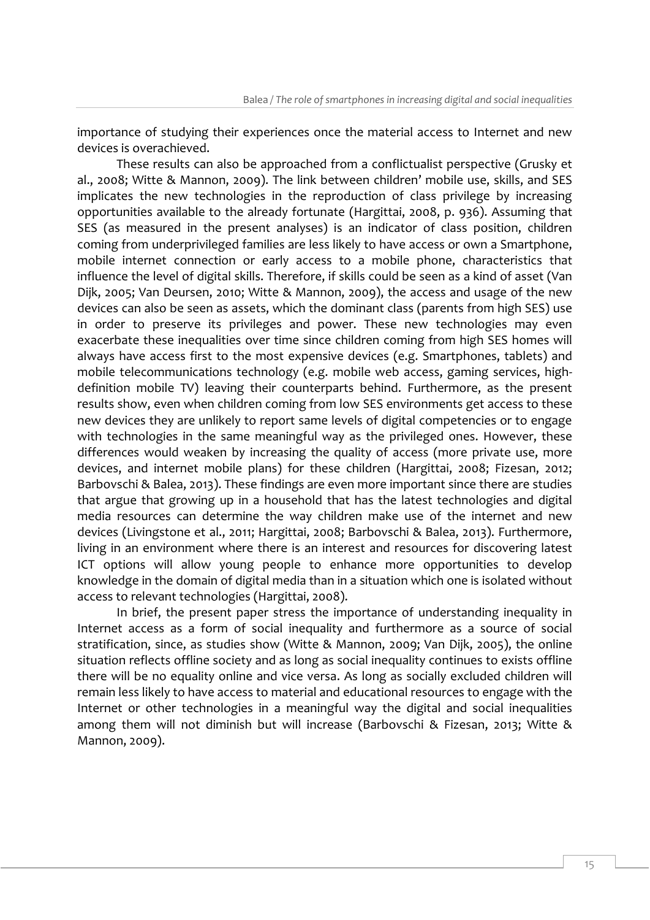importance of studying their experiences once the material access to Internet and new devices is overachieved.

These results can also be approached from a conflictualist perspective (Grusky et al., 2008; Witte & Mannon, 2009). The link between children' mobile use, skills, and SES implicates the new technologies in the reproduction of class privilege by increasing opportunities available to the already fortunate (Hargittai, 2008, p. 936). Assuming that SES (as measured in the present analyses) is an indicator of class position, children coming from underprivileged families are less likely to have access or own a Smartphone, mobile internet connection or early access to a mobile phone, characteristics that influence the level of digital skills. Therefore, if skills could be seen as a kind of asset (Van Dijk, 2005; Van Deursen, 2010; Witte & Mannon, 2009), the access and usage of the new devices can also be seen as assets, which the dominant class (parents from high SES) use in order to preserve its privileges and power. These new technologies may even exacerbate these inequalities over time since children coming from high SES homes will always have access first to the most expensive devices (e.g. Smartphones, tablets) and mobile telecommunications technology (e.g. mobile web access, gaming services, highdefinition mobile TV) leaving their counterparts behind. Furthermore, as the present results show, even when children coming from low SES environments get access to these new devices they are unlikely to report same levels of digital competencies or to engage with technologies in the same meaningful way as the privileged ones. However, these differences would weaken by increasing the quality of access (more private use, more devices, and internet mobile plans) for these children (Hargittai, 2008; Fizesan, 2012; Barbovschi & Balea, 2013). These findings are even more important since there are studies that argue that growing up in a household that has the latest technologies and digital media resources can determine the way children make use of the internet and new devices (Livingstone et al., 2011; Hargittai, 2008; Barbovschi & Balea, 2013). Furthermore, living in an environment where there is an interest and resources for discovering latest ICT options will allow young people to enhance more opportunities to develop knowledge in the domain of digital media than in a situation which one is isolated without access to relevant technologies (Hargittai, 2008).

In brief, the present paper stress the importance of understanding inequality in Internet access as a form of social inequality and furthermore as a source of social stratification, since, as studies show (Witte & Mannon, 2009; Van Dijk, 2005), the online situation reflects offline society and as long as social inequality continues to exists offline there will be no equality online and vice versa. As long as socially excluded children will remain less likely to have access to material and educational resources to engage with the Internet or other technologies in a meaningful way the digital and social inequalities among them will not diminish but will increase (Barbovschi & Fizesan, 2013; Witte & Mannon, 2009).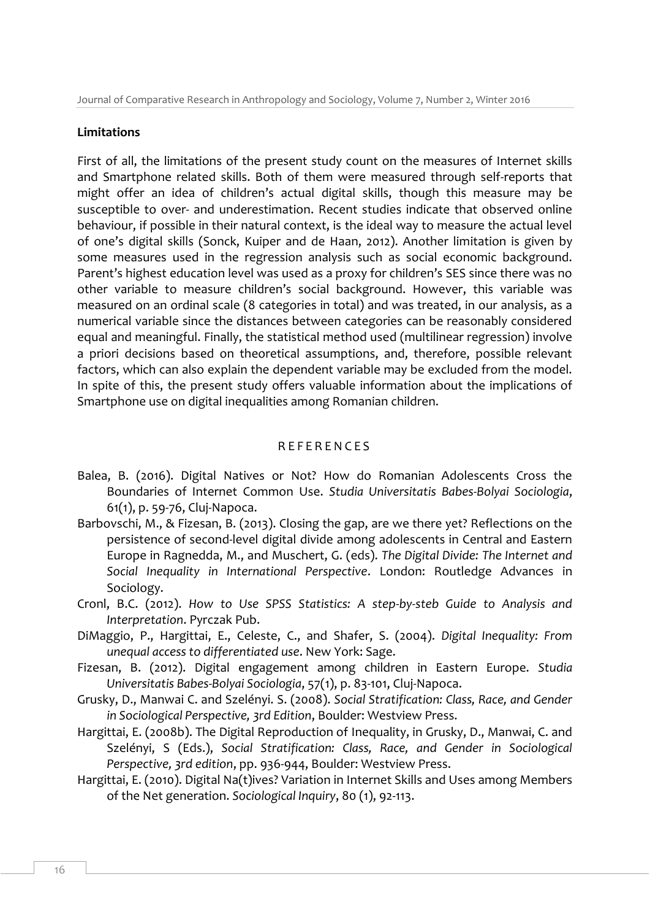#### **Limitations**

First of all, the limitations of the present study count on the measures of Internet skills and Smartphone related skills. Both of them were measured through self-reports that might offer an idea of children's actual digital skills, though this measure may be susceptible to over- and underestimation. Recent studies indicate that observed online behaviour, if possible in their natural context, is the ideal way to measure the actual level of one's digital skills (Sonck, Kuiper and de Haan, 2012). Another limitation is given by some measures used in the regression analysis such as social economic background. Parent's highest education level was used as a proxy for children's SES since there was no other variable to measure children's social background. However, this variable was measured on an ordinal scale (8 categories in total) and was treated, in our analysis, as a numerical variable since the distances between categories can be reasonably considered equal and meaningful. Finally, the statistical method used (multilinear regression) involve a priori decisions based on theoretical assumptions, and, therefore, possible relevant factors, which can also explain the dependent variable may be excluded from the model. In spite of this, the present study offers valuable information about the implications of Smartphone use on digital inequalities among Romanian children.

#### **REFERENCES**

- Balea, B. (2016). Digital Natives or Not? How do Romanian Adolescents Cross the Boundaries of Internet Common Use. *Studia Universitatis Babes-Bolyai Sociologia*, 61(1), p. 59-76, Cluj-Napoca.
- Barbovschi, M., & Fizesan, B. (2013). Closing the gap, are we there yet? Reflections on the persistence of second-level digital divide among adolescents in Central and Eastern Europe in Ragnedda, M., and Muschert, G. (eds). *The Digital Divide: The Internet and Social Inequality in International Perspective*. London: Routledge Advances in Sociology.
- Cronl, B.C. (2012). *How to Use SPSS Statistics: A step-by-steb Guide to Analysis and Interpretation*. Pyrczak Pub.
- DiMaggio, P., Hargittai, E., Celeste, C., and Shafer, S. (2004). *Digital Inequality: From unequal access to differentiated use*. New York: Sage.
- Fizesan, B. (2012). Digital engagement among children in Eastern Europe. *Studia Universitatis Babes-Bolyai Sociologia*, 57(1), p. 83-101, Cluj-Napoca.
- Grusky, D., Manwai C. and Szelényi. S. (2008). *Social Stratification: Class, Race, and Gender in Sociological Perspective, 3rd Edition*, Boulder: Westview Press.
- Hargittai, E. (2008b). The Digital Reproduction of Inequality, in Grusky, D., Manwai, C. and Szelényi, S (Eds.), *Social Stratification: Class, Race, and Gender in Sociological Perspective, 3rd edition*, pp. 936-944, Boulder: Westview Press.
- Hargittai, E. (2010). Digital Na(t)ives? Variation in Internet Skills and Uses among Members of the Net generation. *Sociological Inquiry*, 80 (1), 92-113.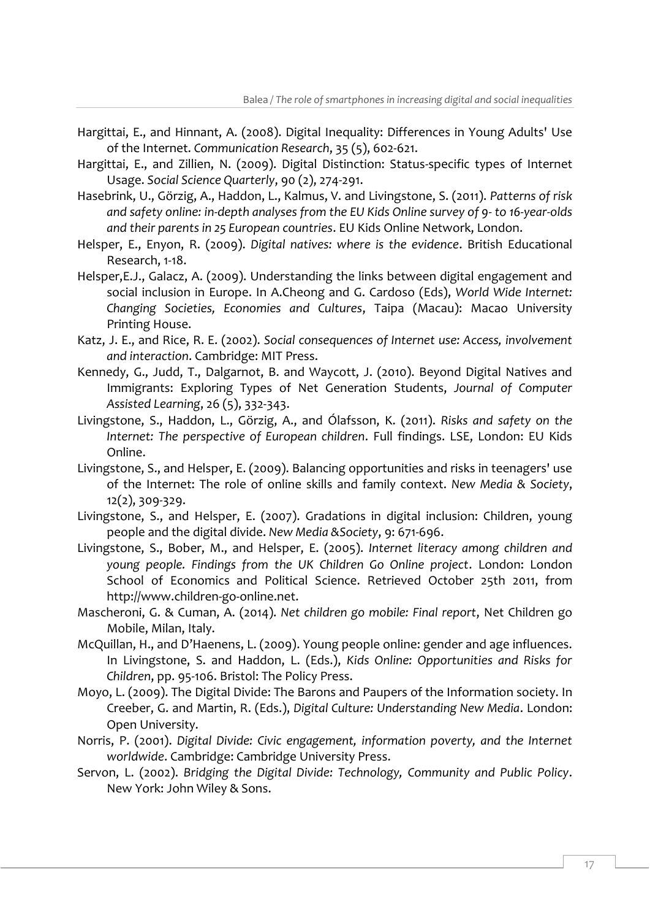- Hargittai, E., and Hinnant, A. (2008). Digital Inequality: Differences in Young Adults' Use of the Internet. *Communication Research*, 35 (5), 602-621.
- Hargittai, E., and Zillien, N. (2009). Digital Distinction: Status-specific types of Internet Usage. *Social Science Quarterly*, 90 (2), 274-291.
- Hasebrink, U., Görzig, A., Haddon, L., Kalmus, V. and Livingstone, S. (2011). *Patterns of risk and safety online: in-depth analyses from the EU Kids Online survey of 9- to 16-year-olds and their parents in 25 European countries*. EU Kids Online Network, London.
- Helsper, E., Enyon, R. (2009). *Digital natives: where is the evidence*. British Educational Research, 1-18.
- Helsper,E.J., Galacz, A. (2009). Understanding the links between digital engagement and social inclusion in Europe. In A.Cheong and G. Cardoso (Eds), *World Wide Internet: Changing Societies, Economies and Cultures*, Taipa (Macau): Macao University Printing House.
- Katz, J. E., and Rice, R. E. (2002). *Social consequences of Internet use: Access, involvement and interaction*. Cambridge: MIT Press.
- Kennedy, G., Judd, T., Dalgarnot, B. and Waycott, J. (2010). Beyond Digital Natives and Immigrants: Exploring Types of Net Generation Students, *Journal of Computer Assisted Learning*, 26 (5), 332-343.
- Livingstone, S., Haddon, L., Görzig, A., and Ólafsson, K. (2011). *Risks and safety on the Internet: The perspective of European children*. Full findings. LSE, London: EU Kids Online.
- Livingstone, S., and Helsper, E. (2009). Balancing opportunities and risks in teenagers' use of the Internet: The role of online skills and family context. *New Media & Society*, 12(2), 309-329.
- Livingstone, S., and Helsper, E. (2007). Gradations in digital inclusion: Children, young people and the digital divide. *New Media &Society*, 9: 671-696.
- Livingstone, S., Bober, M., and Helsper, E. (2005). *Internet literacy among children and young people. Findings from the UK Children Go Online project*. London: London School of Economics and Political Science. Retrieved October 25th 2011, from http://www.children-go-online.net.
- Mascheroni, G. & Cuman, A. (2014). *Net children go mobile: Final report*, Net Children go Mobile, Milan, Italy.
- McQuillan, H., and D'Haenens, L. (2009). Young people online: gender and age influences. In Livingstone, S. and Haddon, L. (Eds.), *Kids Online: Opportunities and Risks for Children*, pp. 95-106. Bristol: The Policy Press.
- Moyo, L. (2009). The Digital Divide: The Barons and Paupers of the Information society. In Creeber, G. and Martin, R. (Eds.), *Digital Culture: Understanding New Media*. London: Open University.
- Norris, P. (2001). *Digital Divide: Civic engagement, information poverty, and the Internet worldwide*. Cambridge: Cambridge University Press.
- Servon, L. (2002). *Bridging the Digital Divide: Technology, Community and Public Policy*. New York: John Wiley & Sons.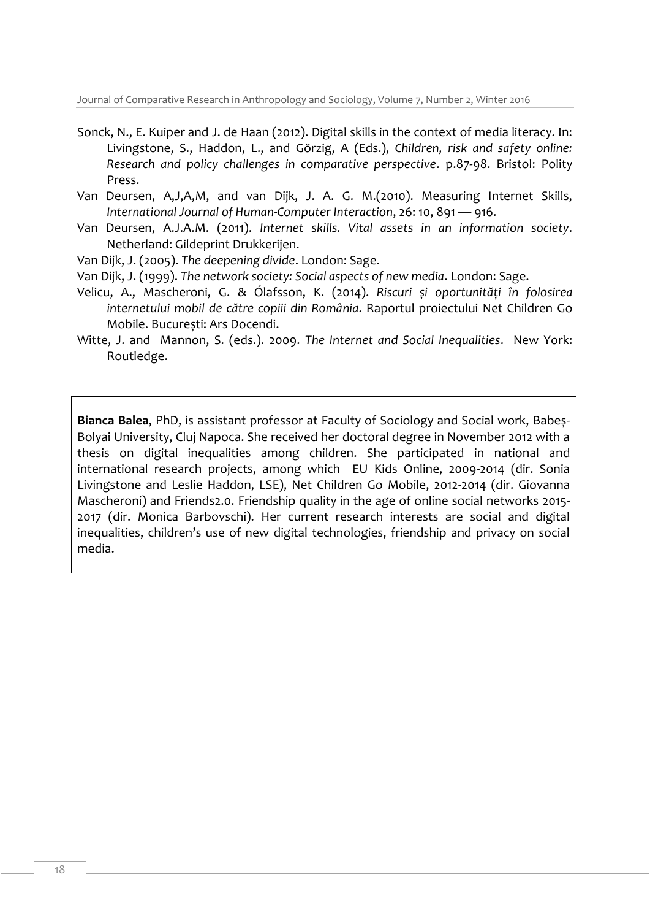Journal of Comparative Research in Anthropology and Sociology, Volume 7, Number 2, Winter 2016

- Sonck, N., E. Kuiper and J. de Haan (2012). Digital skills in the context of media literacy. In: Livingstone, S., Haddon, L., and Görzig, A (Eds.), *Children, risk and safety online: Research and policy challenges in comparative perspective*. p.87-98. Bristol: Polity Press.
- Van Deursen, A,J,A,M, and van Dijk, J. A. G. M.(2010). Measuring Internet Skills, *International Journal of Human-Computer Interaction*, 26: 10, 891 — 916.
- Van Deursen, A.J.A.M. (2011). *Internet skills. Vital assets in an information society*. Netherland: Gildeprint Drukkerijen.
- Van Dijk, J. (2005). *The deepening divide*. London: Sage.
- Van Dijk, J. (1999). *The network society: Social aspects of new media*. London: Sage.
- Velicu, A., Mascheroni, G. & Ólafsson, K. (2014). *Riscuri și oportunități în folosirea internetului mobil de către copiii din România*. Raportul proiectului Net Children Go Mobile. București: Ars Docendi.
- Witte, J. and Mannon, S. (eds.). 2009. *The Internet and Social Inequalities*. New York: Routledge.

**Bianca Balea**, PhD, is assistant professor at Faculty of Sociology and Social work, Babeș-Bolyai University, Cluj Napoca. She received her doctoral degree in November 2012 with a thesis on digital inequalities among children. She participated in national and international research projects, among which EU Kids Online, 2009-2014 (dir. Sonia Livingstone and Leslie Haddon, LSE), Net Children Go Mobile, 2012-2014 (dir. Giovanna Mascheroni) and Friends2.0. Friendship quality in the age of online social networks 2015- 2017 (dir. Monica Barbovschi). Her current research interests are social and digital inequalities, children's use of new digital technologies, friendship and privacy on social media.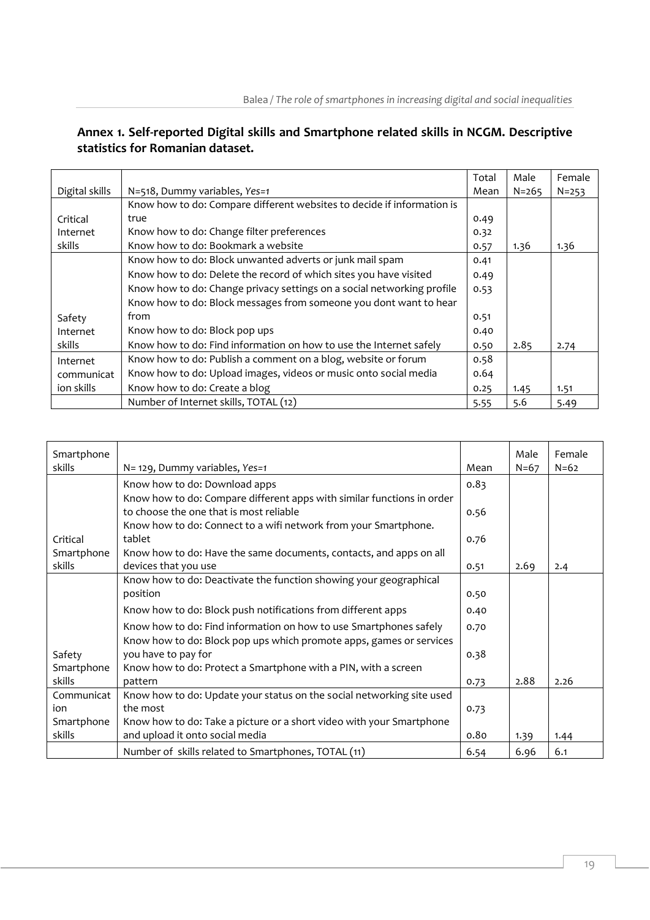# **Annex 1. Self-reported Digital skills and Smartphone related skills in NCGM. Descriptive statistics for Romanian dataset.**

|                |                                                                        | Total | Male      | Female    |
|----------------|------------------------------------------------------------------------|-------|-----------|-----------|
| Digital skills | N=518, Dummy variables, Yes=1                                          | Mean  | $N = 265$ | $N = 253$ |
|                | Know how to do: Compare different websites to decide if information is |       |           |           |
| Critical       | true                                                                   | 0.49  |           |           |
| Internet       | Know how to do: Change filter preferences                              | 0.32  |           |           |
| skills         | Know how to do: Bookmark a website                                     | 0.57  | 1.36      | 1.36      |
|                | Know how to do: Block unwanted adverts or junk mail spam               | 0.41  |           |           |
|                | Know how to do: Delete the record of which sites you have visited      | 0.49  |           |           |
|                | Know how to do: Change privacy settings on a social networking profile | 0.53  |           |           |
|                | Know how to do: Block messages from someone you dont want to hear      |       |           |           |
| Safety         | from                                                                   | 0.51  |           |           |
| Internet       | Know how to do: Block pop ups                                          | 0.40  |           |           |
| skills         | Know how to do: Find information on how to use the Internet safely     | 0.50  | 2.85      | 2.74      |
| Internet       | Know how to do: Publish a comment on a blog, website or forum          | 0.58  |           |           |
| communicat     | Know how to do: Upload images, videos or music onto social media       | 0.64  |           |           |
| ion skills     | Know how to do: Create a blog                                          | 0.25  | 1.45      | 1.51      |
|                | Number of Internet skills, TOTAL (12)                                  | 5.55  | 5.6       | 5.49      |

| Smartphone<br>skills | N= 129, Dummy variables, Yes=1                                                                                    | Mean | Male<br>$N = 67$ | Female<br>$N = 62$ |
|----------------------|-------------------------------------------------------------------------------------------------------------------|------|------------------|--------------------|
|                      |                                                                                                                   |      |                  |                    |
|                      | Know how to do: Download apps                                                                                     | 0.83 |                  |                    |
|                      | Know how to do: Compare different apps with similar functions in order<br>to choose the one that is most reliable |      |                  |                    |
|                      |                                                                                                                   | 0.56 |                  |                    |
| Critical             | Know how to do: Connect to a wifi network from your Smartphone.<br>tablet                                         | 0.76 |                  |                    |
| Smartphone           | Know how to do: Have the same documents, contacts, and apps on all                                                |      |                  |                    |
| skills               | devices that you use                                                                                              | 0.51 | 2.69             | 2.4                |
|                      | Know how to do: Deactivate the function showing your geographical                                                 |      |                  |                    |
|                      | position                                                                                                          | 0.50 |                  |                    |
|                      |                                                                                                                   |      |                  |                    |
|                      | Know how to do: Block push notifications from different apps                                                      | 0.40 |                  |                    |
|                      | Know how to do: Find information on how to use Smartphones safely                                                 | 0.70 |                  |                    |
|                      | Know how to do: Block pop ups which promote apps, games or services                                               |      |                  |                    |
| Safety               | you have to pay for                                                                                               | 0.38 |                  |                    |
| Smartphone           | Know how to do: Protect a Smartphone with a PIN, with a screen                                                    |      |                  |                    |
| skills               | pattern                                                                                                           | 0.73 | 2.88             | 2.26               |
| Communicat           | Know how to do: Update your status on the social networking site used                                             |      |                  |                    |
| ion                  | the most                                                                                                          | 0.73 |                  |                    |
| Smartphone           | Know how to do: Take a picture or a short video with your Smartphone                                              |      |                  |                    |
| skills               | and upload it onto social media                                                                                   | 0.80 | 1.39             | 1.44               |
|                      | Number of skills related to Smartphones, TOTAL (11)                                                               | 6.54 | 6.96             | 6.1                |